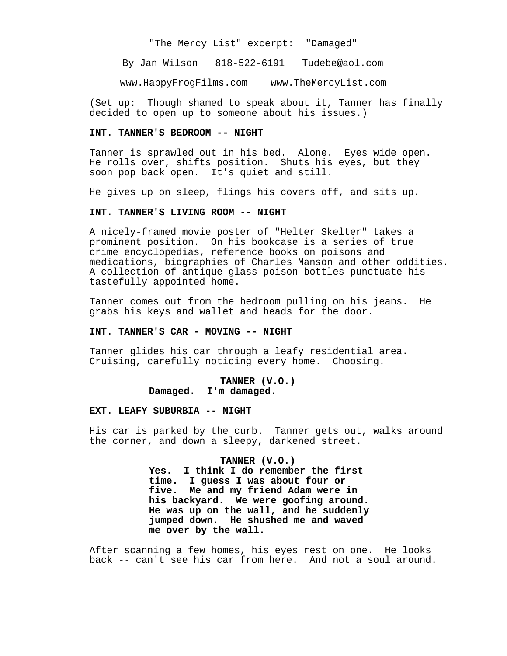"The Mercy List" excerpt: "Damaged"

By Jan Wilson 818-522-6191 Tudebe@aol.com

www.HappyFrogFilms.com www.TheMercyList.com

(Set up: Though shamed to speak about it, Tanner has finally decided to open up to someone about his issues.)

### **INT. TANNER'S BEDROOM -- NIGHT**

Tanner is sprawled out in his bed. Alone. Eyes wide open. He rolls over, shifts position. Shuts his eyes, but they soon pop back open. It's quiet and still.

He gives up on sleep, flings his covers off, and sits up.

### **INT. TANNER'S LIVING ROOM -- NIGHT**

A nicely-framed movie poster of "Helter Skelter" takes a prominent position. On his bookcase is a series of true crime encyclopedias, reference books on poisons and medications, biographies of Charles Manson and other oddities. A collection of antique glass poison bottles punctuate his tastefully appointed home.

Tanner comes out from the bedroom pulling on his jeans. He grabs his keys and wallet and heads for the door.

#### **INT. TANNER'S CAR - MOVING -- NIGHT**

Tanner glides his car through a leafy residential area. Cruising, carefully noticing every home. Choosing.

## **TANNER (V.O.) Damaged. I'm damaged.**

#### **EXT. LEAFY SUBURBIA -- NIGHT**

His car is parked by the curb. Tanner gets out, walks around the corner, and down a sleepy, darkened street.

#### **TANNER (V.O.)**

**Yes. I think I do remember the first time. I guess I was about four or five. Me and my friend Adam were in his backyard. We were goofing around. He was up on the wall, and he suddenly jumped down. He shushed me and waved me over by the wall.**

After scanning a few homes, his eyes rest on one. He looks back -- can't see his car from here. And not a soul around.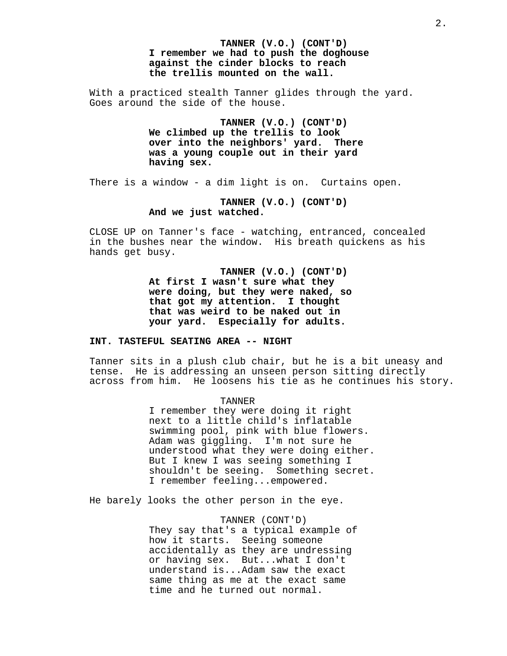**TANNER (V.O.) (CONT'D) I remember we had to push the doghouse against the cinder blocks to reach the trellis mounted on the wall.** 

With a practiced stealth Tanner glides through the yard. Goes around the side of the house.

> **TANNER (V.O.) (CONT'D) We climbed up the trellis to look over into the neighbors' yard. There was a young couple out in their yard having sex.**

There is a window - a dim light is on. Curtains open.

**TANNER (V.O.) (CONT'D) And we just watched.** 

CLOSE UP on Tanner's face - watching, entranced, concealed in the bushes near the window. His breath quickens as his hands get busy.

> **TANNER (V.O.) (CONT'D) At first I wasn't sure what they were doing, but they were naked, so that got my attention. I thought that was weird to be naked out in your yard. Especially for adults.**

# **INT. TASTEFUL SEATING AREA -- NIGHT**

Tanner sits in a plush club chair, but he is a bit uneasy and tense. He is addressing an unseen person sitting directly across from him. He loosens his tie as he continues his story.

TANNER

I remember they were doing it right next to a little child's inflatable swimming pool, pink with blue flowers. Adam was giggling. I'm not sure he understood what they were doing either. But I knew I was seeing something I shouldn't be seeing. Something secret. I remember feeling...empowered.

He barely looks the other person in the eye.

TANNER (CONT'D) They say that's a typical example of how it starts. Seeing someone accidentally as they are undressing or having sex. But...what I don't understand is...Adam saw the exact same thing as me at the exact same time and he turned out normal.